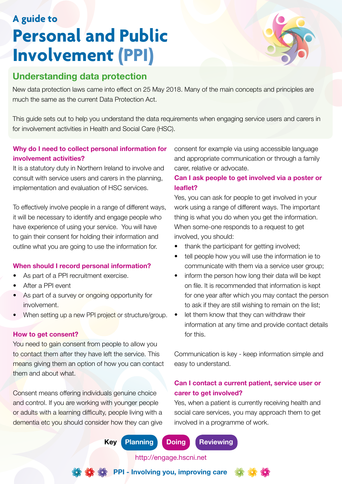# **A guide to Personal and Public Involvement (PPI)**





# **Understanding data protection**

New data protection laws came into effect on 25 May 2018. Many of the main concepts and principles are much the same as the current Data Protection Act.

This guide sets out to help you understand the data requirements when engaging service users and carers in for involvement activities in Health and Social Care (HSC).

### **Why do I need to collect personal information for involvement activities?**

It is a statutory duty in Northern Ireland to involve and consult with service users and carers in the planning, implementation and evaluation of HSC services.

To effectively involve people in a range of different ways, it will be necessary to identify and engage people who have experience of using your service. You will have to gain their consent for holding their information and outline what you are going to use the information for.

### **When should I record personal information?**

- As part of a PPI recruitment exercise.
- After a PPI event
- As part of a survey or ongoing opportunity for involvement.
- When setting up a new PPI project or structure/group.

#### **How to get consent?**

You need to gain consent from people to allow you to contact them after they have left the service. This means giving them an option of how you can contact them and about what.

Consent means offering individuals genuine choice and control. If you are working with younger people or adults with a learning difficulty, people living with a dementia etc you should consider how they can give consent for example via using accessible language and appropriate communication or through a family carer, relative or advocate.

# **Can I ask people to get involved via a poster or leaflet?**

Yes, you can ask for people to get involved in your work using a range of different ways. The important thing is what you do when you get the information. When some-one responds to a request to get involved, you should:

- thank the participant for getting involved;
- tell people how you will use the information ie to communicate with them via a service user group;
- inform the person how long their data will be kept on file. It is recommended that information is kept for one year after which you may contact the person to ask if they are still wishing to remain on the list;
- let them know that they can withdraw their information at any time and provide contact details for this.

Communication is key - keep information simple and easy to understand.

### **Can I contact a current patient, service user or carer to get involved?**

Yes, when a patient is currently receiving health and social care services, you may approach them to get involved in a programme of work.

**Key Planning Doing Reviewing**

**PPI - Involving you, improving care**

http://engage.hscni.net